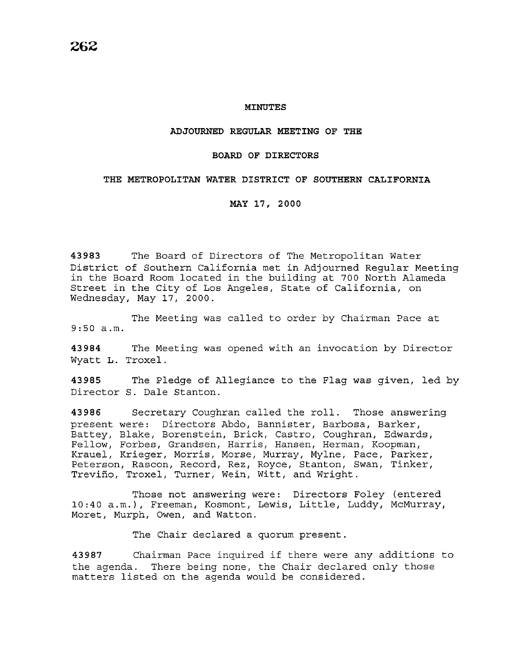### **MINUTES**

### **ADJOURNED REGULAR MEETING OF THE**

#### **BOARD OF DIRECTORS**

## **THE METROPOLITAN WATER DISTRICT OF SOUTHERN CALIFORNIA**

**MAY 17, 2000** 

**43983** The Board of Directors of The Metropolitan Water District of Southern California met in Adjourned Regular Meeting in the Board Room located in the building at 700 North Alameda Street in the City of Los Angeles, State of California, on Wednesday, May 17, 2000.

The Meeting was called to order by Chairman Pace at 9:50 a.m.

**43984** The Meeting was opened with an invocation by Director Wyatt L. Troxel.

**43985** The Pledge of Allegiance to the Flag was given, led by Director S. Dale Stanton.

**43986** Secretary Coughran called the roll. Those answering present were: Directors Abdo, Bannister, Barbosa, Barker, Battey, Blake, Borenstein, Brick, Castro, Coughran, Edwards, Fellow, Forbes, Grandsen, Harris, Hansen, Herman, Koopman, Krauel, Krieger, Morris, Morse, Murray, Mylne, Pace, Parker, Peterson, Rascon, Record, Rez, Royce, Stanton, Swan, Tinker, Trevino, Troxel, Turner, Wein, Witt, and Wright.

Those not answering were: Directors Foley (entered 10:40 a.m.), Freeman, Kosmont, Lewis, Little, Luddy, McMurray, Moret, Murph, Owen, and Watton.

The Chair declared a quorum present.

**<sup>43987</sup>**Chairman Pace inquired if there were any additions to the agenda. There being none, the Chair declared only those matters listed on the agenda would be considered.

**262**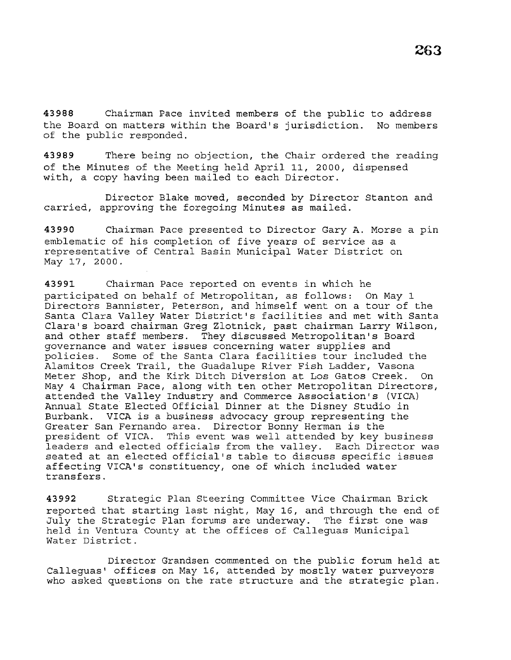**43988** Chairman Pace invited members of the public to address the Board on matters within the Board's jurisdiction. No members of the public responded.

**43989** There being no objection, the Chair ordered the reading of the Minutes of the Meeting held April 11, 2000, dispensed with, a copy having been mailed to each Director.

Director Blake moved, seconded by Director Stanton and carried, approving the foregoing Minutes as mailed.

**43990** Chairman Pace presented to Director Gary A. Morse a pin emblematic of his completion of five years of service as a representative of Central Basin Municipal Water District on May 17, 2000.

**43991** Chairman Pace reported on events in which he participated on behalf of Metropolitan, as follows: On May 1 Directors Bannister, Peterson, and himself went on a tour of the Santa Clara Valley Water District's facilities and met with Santa Clara's board chairman Greg Zlotnick, past chairman Larry Wilson, and other staff members. They discussed Metropolitan's Board governance and water issues concerning water supplies and policies. Some of the Santa Clara facilities tour included the Alamitos Creek Trail, the Guadalupe River Fish Ladder, Vasona Meter Shop, and the Kirk Ditch Diversion at Los Gatos Creek. On May 4 Chairman Pace, along with ten other Metropolitan Directors, attended the Valley Industry and Commerce Association's (VICA) Annual State Elected Official Dinner at the Disney Studio in Burbank. VICA is a business advocacy group representing the Greater San Fernando area. Director Bonny Herman is the president of VICA. This event was well attended by key business leaders and elected officials from the valley. Each Director was seated at an elected official's table to discuss specific issues affecting VICA's constituency, one of which included water transfers.

**43992** Strategic Plan Steering Committee Vice Chairman Brick reported that starting last night, May 16, and through the end of July the Strategic Plan forums are underway. The first one was held in Ventura County at the offices of Calleguas Municipal Water District.

Director Grandsen commented on the public forum held at Calleguas' offices on May 16, attended by mostly water purveyors who asked questions on the rate structure and the strategic plan.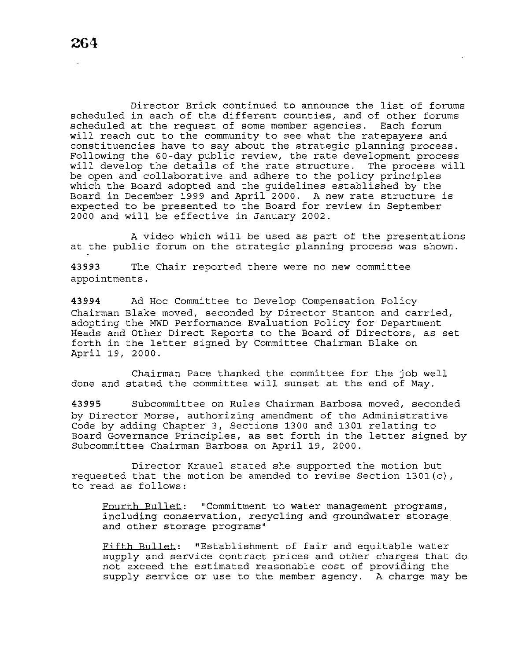Director Brick continued to announce the list of forums scheduled in each of the different counties, and of other forums scheduled at the request of some member agencies. Each forum will reach out to the community to see what the ratepayers and constituencies have to say about the strategic planning process. Following the 60-day public review, the rate development process will develop the details of the rate structure. The process will be open and collaborative and adhere to the policy principles which the Board adopted and the guidelines established by the Board in December 1999 and April 2000. A new rate structure is expected to be presented to the Board for review in September 2000 and will be effective in January 2002.

A video which will be used as part of the presentations at the public forum on the strategic planning process was shown.

**43993** The Chair reported there were no new committee appointments.

**43994** Ad Hoc Committee to Develop Compensation Policy Chairman Blake moved, seconded by Director Stanton and carried, adopting the MWD Performance Evaluation Policy for Department Heads and Other Direct Reports to the Board of Directors, as set forth in the letter signed by Committee Chairman Blake on April 19, 2000.

Chairman Pace thanked the committee for the job well done and stated the committee will sunset at the end of May.

**43995** Subcommittee on Rules Chairman Barbosa moved, seconded by Director Morse, authorizing amendment of the Administrative Code by adding Chapter 3, Sections 1300 and 1301 relating to Board Governance Principles, as set forth in the letter signed by Subcommittee Chairman Barbosa on April 19, 2000.

Director Krauel stated she supported the motion but requested that the motion be amended to revise Section 1301(c), to read as follows:

Fourth Bullet: "Commitment to water management programs, including conservation, recycling and groundwater storage and other storage programs"

Fifth Bullet: "Establishment of fair and equitable water supply and service contract prices and other charges that do not exceed the estimated reasonable cost of providing the supply service or use to the member agency. A charge may be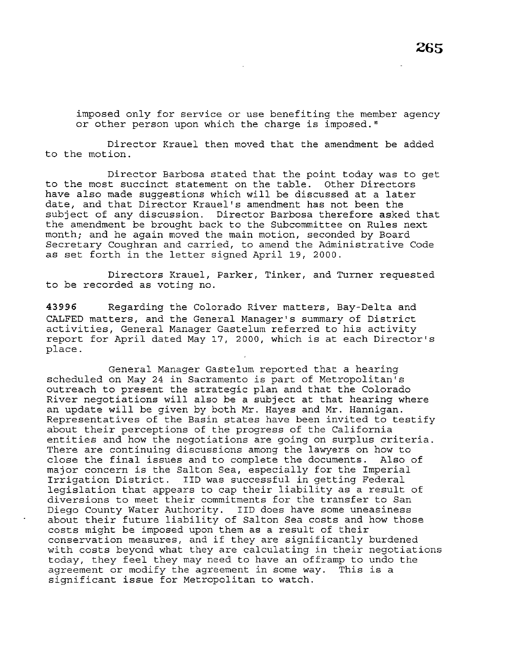imposed only for service or use benefiting the member agency or other person upon which the charge is imposed."

Director Krauel then moved that the amendment be added to the motion.

Director Barbosa stated that the point today was to get to the most succinct statement on the table. Other Directors have also made suggestions which will be discussed at a later date, and that Director Krauel's amendment has not been the subject of any discussion. Director Barbosa therefore asked that the amendment be brought back to the Subcommittee on Rules next month; and he again moved the main motion, seconded by Board Secretary Coughran and carried, to amend the Administrative Code as set forth in the letter signed April 19, 2000.

Directors Krauel, Parker, Tinker, and Turner requested to be recorded as voting no.

**43996** Regarding the Colorado River matters, Bay-Delta and CALFED matters, and the General Manager's summary of District activities, General Manager Gastelum referred to his activity report for April dated May 17, 2000, which is at each Director's place.

General Manager Gastelum reported that a hearing scheduled on May 24 in Sacramento is part of Metropolitan's outreach to present the strategic plan and that the Colorado River negotiations will also be a subject at that hearing where an update will be given by both Mr. Hayes and Mr. Hannigan. Representatives of the Basin states have been invited to testify about their perceptions of the progress of the California entities and how the negotiations are going on surplus criteria. There are continuing discussions among the lawyers on how to<br>close the final issues and to complete the documents. Also of close the final issues and to complete the documents. major concern is the Salton Sea, especially for the Imperial Irrigation District. IID was successful in getting Federal legislation that appears to cap their liability as a result of diversions to meet their commitments for the transfer to San Diego County Water Authority. IID does have some uneasiness about their future liability of Salton Sea costs and how those costs might be imposed upon them as a result of their conservation measures, and if they are significantly burdened with costs beyond what they are calculating in their negotiations today, they feel they may need to have an offramp to undo the agreement or modify the agreement in some way. This is a significant issue for Metropolitan to watch.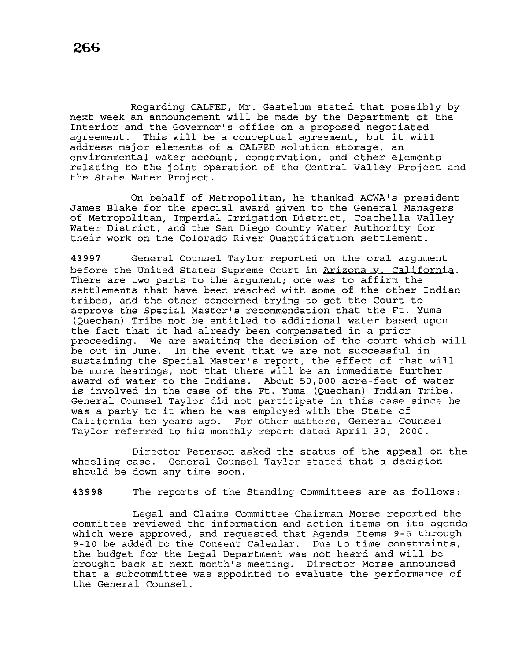Regarding CALFED, Mr. Gastelum stated that possibly by next week an announcement will be made by the Department of the Interior and the Governor's office on a proposed negotiated agreement. This will be a conceptual agreement, but it will address major elements of a CALFED solution storage, an environmental water account, conservation, and other elements relating to the joint operation of the Central Valley Project and the State Water Project.

On behalf of Metropolitan, he thanked ACWA's president James Blake for the special award given to the General Managers of Metropolitan, Imperial Irrigation District, Coachella Valley Water District, and the San Diego County Water Authority for their work on the Colorado River Quantification settlement.

**43997** General Counsel Taylor reported on the oral argument before the United States Supreme Court in Arizona *v. California*. There are two parts to the argument; one was to affirm the settlements that have been reached with some of the other Indian tribes, and the other concerned trying to get the Court to approve the Special Master's recommendation that the Ft. Yuma (Quechan) Tribe not be entitled to additional water based upon the fact that it had already been compensated in a prior proceeding. We are awaiting the decision of the court which will be out in June. In the event that we are not successful in sustaining the Special Master's report, the effect of that will be more hearings, not that there will be an immediate further award of water to the Indians. About 50,000 acre-feet of water is involved in the case of the Ft. Yuma (Quechan) Indian Tribe. General Counsel Taylor did not participate in this case since he was a party to it when he was employed with the State of California ten years ago. For other matters, General Counsel Taylor referred to his monthly report dated April 30, 2000.

Director Peterson asked the status of the appeal on the wheeling case. General Counsel Taylor stated that a decision should be down any time soon.

**43998** The reports of the Standing Committees are as follows:

Legal and Claims Committee Chairman Morse reported the committee reviewed the information and action items on its agenda which were approved, and requested that Agenda Items 9-5 through 9-10 be added to the Consent Calendar. Due to time constraints, the budget for the Legal Department was not heard and will be brought back at next month's meeting. Director Morse announced that a subcommittee was appointed to evaluate the performance of the General Counsel.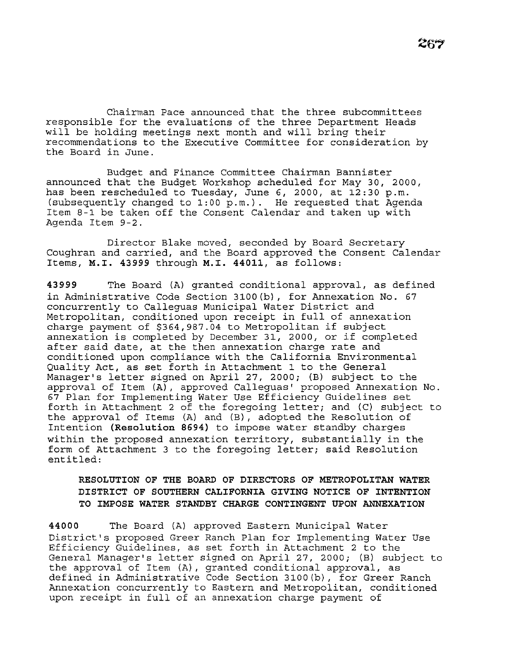Chairman Pace announced that the three subcommittees responsible for the evaluations of the three Department Heads will be holding meetings next month and will bring their recommendations to the Executive Committee for consideration by the Board in June.

Budget and Finance Committee Chairman Bannister announced that the Budget Workshop scheduled for May 30, 2000, has been rescheduled to Tuesday, June 6, 2000, at 12:30 p.m. (subsequently changed to 1:00 p.m.}. He requested that Agenda Item 8-1 be taken off the Consent Calendar and taken up with Agenda Item 9-2.

Director Blake moved, seconded by Board Secretary Coughran and carried, and the Board approved the Consent Calendar Items, **M.I. 43999** through **M.I. 44011,** as follows:

**43999** The Board (A} granted conditional approval, as defined in Administrative Code Section 3100(b}, for Annexation No. 67 concurrently to Calleguas Municipal Water District and Metropolitan, conditioned upon receipt in full of annexation charge payment of \$364,987.04 to Metropolitan if subject annexation is completed by December 31, 2000, or if completed after said date, at the then annexation charge rate and conditioned upon compliance with the California Environmental Quality Act, as set forth in Attachment 1 to the General Manager's letter signed on April 27, 2000; (B) subject to the approval of Item (A}, approved Calleguas' proposed Annexation No. 67 Plan for Implementing Water Use Efficiency Guidelines set forth in Attachment 2 of the foregoing letter; and (C) subject to the approval of Items (A} and (B), adopted the Resolution of Intention **(Resolution 8694)** to impose water standby charges within the proposed annexation territory, substantially in the form of Attachment 3 to the foregoing letter; said Resolution entitled:

## **RESOLUTION OF THE BOARD OF DIRECTORS OF METROPOLITAN WATER DISTRICT OF SOUTHERN CALIFORNIA GIVING NOTICE OF INTENTION TO IMPOSE WATER STANDBY CHARGE CONTINGENT UPON ANNEXATION**

**44000** The Board (A) approved Eastern Municipal Water District's proposed Greer Ranch Plan for Implementing Water Use Efficiency Guidelines, as set forth in Attachment 2 to the General Manager's letter signed on April 27, 2000; (B) subject to the approval of Item (A), granted conditional approval, as defined in Administrative Code Section 3100(b}, for Greer Ranch Annexation concurrently to Eastern and Metropolitan, conditioned upon receipt in full of an annexation charge payment of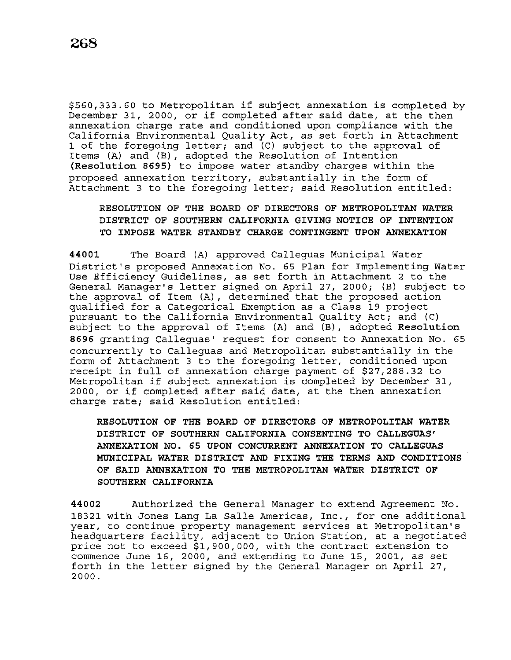\$560,333.60 to Metropolitan if subject annexation is completed by December 31, 2000, or if completed after said date, at the then annexation charge rate and conditioned upon compliance with the California Environmental Quality Act, as set forth in Attachment 1 of the foregoing letter; and (C) subject to the approval of Items (A) and (B), adopted the Resolution of Intention **(Resolution 8695)** to impose water standby charges within the proposed annexation territory, substantially in the form of Attachment 3 to the foregoing letter; said Resolution entitled:

# **RESOLUTION OF THE BOARD OF DIRECTORS OF METROPOLITAN WATER DISTRICT OF SOUTHERN CALIFORNIA GIVING NOTICE OF INTENTION TO IMPOSE WATER STANDBY CHARGE CONTINGENT UPON ANNEXATION**

**44001** The Board (A) approved Calleguas Municipal Water District's proposed Annexation No. 65 Plan for Implementing Water Use Efficiency Guidelines, as set forth in Attachment 2 to the General Manager's letter signed on April 27, 2000; (B) subject to the approval of Item (A) , determined that the proposed action qualified for a Categorical Exemption as a Class 19 project pursuant to the California Environmental Quality Act; and (C) subject to the approval of Items (A) and (B), adopted **Resolution 8696** granting Calleguas' request for consent to Annexation No. 65 concurrently to Calleguas and Metropolitan substantially in the form of Attachment 3 to the foregoing letter, conditioned upon receipt in full of annexation charge payment of \$27,288.32 to Metropolitan if subject annexation is completed by December 31, 2000, or if completed after said date, at the then annexation charge rate; said Resolution entitled:

**RESOLUTION OF THE BOARD OF DIRECTORS OF METROPOLITAN WATER DISTRICT OF SOUTHERN CALIFORNIA CONSENTING TO CALLEGUAS' ANNEXATION** *NO.* **65 UPON CONCURRENT ANNEXATION TO CALLEGUAS MUNICIPAL WATER DISTRICT AND FIXING THE TERMS AND CONDITIONS OF SAID ANNEXATION TO THE METROPOLITAN WATER DISTRICT OF SOUTHERN CALIFORNIA** 

**44002** Authorized the General Manager to extend Agreement No. 18321 with Jones Lang La Salle Americas, Inc., for one additional year, to continue property management services at Metropolitan's headquarters facility, adjacent to Union Station, at a negotiated price not to exceed \$1,900,000, with the contract extension to commence June 16, 2000, and extending to June 15, 2001, as set forth in the letter signed by the General Manager on April 27, 2000.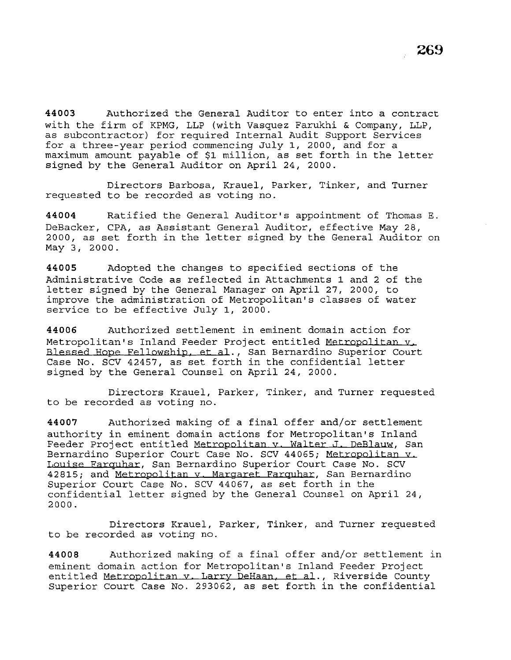**44003** Authorized the General Auditor to enter into a contract with the firm of KPMG, LLP (with Vasquez Farukhi & Company, LLP, as subcontractor) for required Internal Audit Support Services for a three-year period commencing July 1, 2000, and for a maximum amount payable of \$1 million, as set forth in the letter signed by the General Auditor on April 24, 2000.

Directors Barbosa, Krauel, Parker, Tinker, and Turner requested to be recorded as voting no.

**44004** Ratified the General Auditor's appointment of Thomas E. DeBacker, CPA, as Assistant General Auditor, effective May 28, 2000, as set forth in the letter signed by the General Auditor on May 3, 2000.

**44005** Adopted the changes to specified sections of the Administrative Code as reflected in Attachments 1 and 2 of the letter signed by the General Manager on April 27, 2000, to improve the administration of Metropolitan's classes of water service to be effective July 1, 2000.

**44006** Authorized settlement in eminent domain action for Metropolitan's Inland Feeder Project entitled Metropolitan v Blessed Hope Fellowship, et al., San Bernardino Superior Court Case No. SCV 42457, as set forth in the confidential letter signed by the General Counsel on April 24, 2000.

Directors Krauel, Parker, Tinker, and Turner requested to be recorded as voting no.

**44007** Authorized making of a final offer and/or settlement authority in eminent domain actions for Metropolitan's Inland Feeder Project entitled Metropolitan v. Walter J. DeBlauw, San Bernardino Superior Court Case No. SCV 44065; Metropolitan v. Louise Farquhar, San Bernardino Superior Court Case No. SCV 42815; and Metropolitan v. Margaret Farquhar, San Bernardino Superior Court Case No. SCV 44067, as set forth in the confidential letter signed by the General Counsel on April 24, 2000.

Directors Krauel, Parker, Tinker, and Turner requested to be recorded as voting no.

**44008** Authorized making of a final offer and/or settlement in eminent domain action for Metropolitan's Inland Feeder Project entitled Metropolitan v. Larry DeHaan, et al., Riverside County Superior Court Case No. 293062, as set forth in the confidential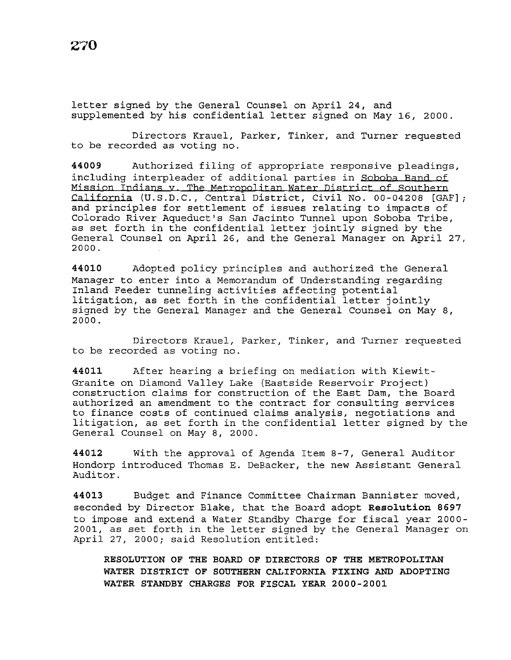letter signed by the General Counsel on April 24, and supplemented by his confidential letter signed on May 16, 2000.

Directors Krauel, Parker, Tinker, and Turner requested to be recorded as voting no.

**44009** Authorized filing of appropriate responsive pleadings, including interpleader of additional parties in Soboba Band of Mission Indians v. The Metropolitan Water District of Southern California (U.S.D.C., Central District, Civil No. 00-04208 [GAF] and principles for settlement of issues relating to impacts of Colorado River Aqueduct's San Jacinto Tunnel upon Soboba Tribe, as set forth in the confidential letter jointly signed by the General Counsel on April 26, and the General Manager on April 27, 2000.

**44010** Adopted policy principles and authorized the General Manager to enter into a Memorandum of Understanding regarding Inland Feeder tunneling activities affecting potential litigation, as set forth in the confidential letter jointly signed by the General Manager and the General Counsel on May 8, 2000.

Directors Krauel, Parker, Tinker, and Turner requested to be recorded as voting no.

**44011** After hearing a briefing on mediation with Kiewit-Granite on Diamond Valley Lake (Eastside Reservoir Project) construction claims for construction of the East Dam, the Board authorized an amendment to the contract for consulting services to finance costs of continued claims analysis, negotiations and litigation, as set forth in the confidential letter signed by the General Counsel on May 8, 2000.

**44012** With the approval of Agenda Item 8-7, General Auditor Hondorp introduced Thomas E. DeBacker, the new Assistant General Auditor.

**44013** Budget and Finance Committee Chairman Bannister moved, seconded by Director Blake, that the Board adopt **Resolution 8697**  to impose and extend a Water Standby Charge for fiscal year 2000- 2001, as set forth in the letter signed by the General Manager on April 27, 2000; said Resolution entitled:

**RESOLUTION OF THE BOARD OF DIRECTORS OF THE METROPOLITAN WATER DISTRICT OF SOUTHERN CALIFORNIA FIXING AND ADOPTING WATER STANDBY CHARGES FOR FISCAL YEAR 2000-2001**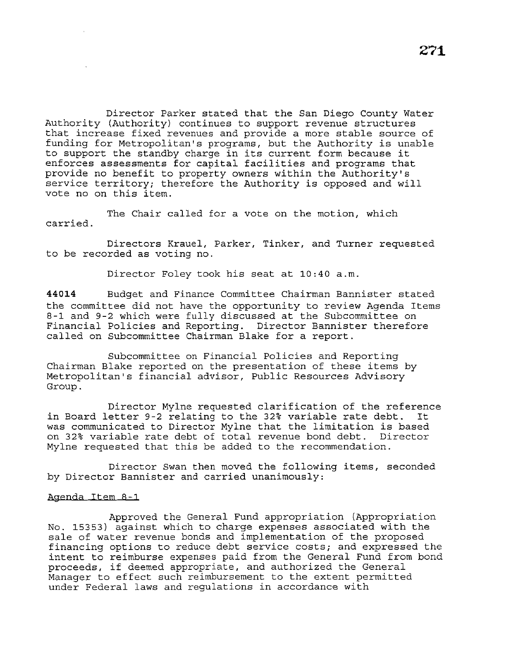Director Parker stated that the San Diego County Water Authority (Authority) continues to support revenue structures that increase fixed revenues and provide a more stable source of funding for Metropolitan's programs, but the Authority is unable to support the standby charge in its current form because it enforces assessments for capital facilities and programs that provide no benefit to property owners within the Authority's service territory; therefore the Authority is opposed and will vote no on this item.

The Chair called for a vote on the motion, which carried.

Directors Krauel, Parker, Tinker, and Turner requested to be recorded as voting no.

Director Foley took his seat at 10:40 a.m.

**44014** Budget and Finance Committee Chairman Bannister stated the committee did not have the opportunity to review Agenda Items 8-1 and 9-2 which were fully discussed at the Subcommittee on Financial Policies and Reporting. Director Bannister therefore called on Subcommittee Chairman Blake for a report.

Subcommittee on Financial Policies and Reporting Chairman Blake reported on the presentation of these items by Metropolitan's financial advisor, Public Resources Advisory Group.

Director Mylne requested clarification of the reference in Board letter 9-2 relating to the 32% variable rate debt. It was communicated to Director Mylne that the limitation is based on 32% variable rate debt of total revenue bond debt. Director Mylne requested that this be added to the recommendation.

Director Swan then moved the following items, seconded by Director Bannister and carried unanimously:

### Agenda Item 8-1

Approved the General Fund appropriation (Appropriation No. 15353) against which to charge expenses associated with the sale of water revenue bonds and implementation of the proposed financing options to reduce debt service costs; and expressed the intent to reimburse expenses paid from the General Fund from bond proceeds, if deemed appropriate, and authorized the General Manager to effect such reimbursement to the extent permitted under Federal laws and regulations in accordance with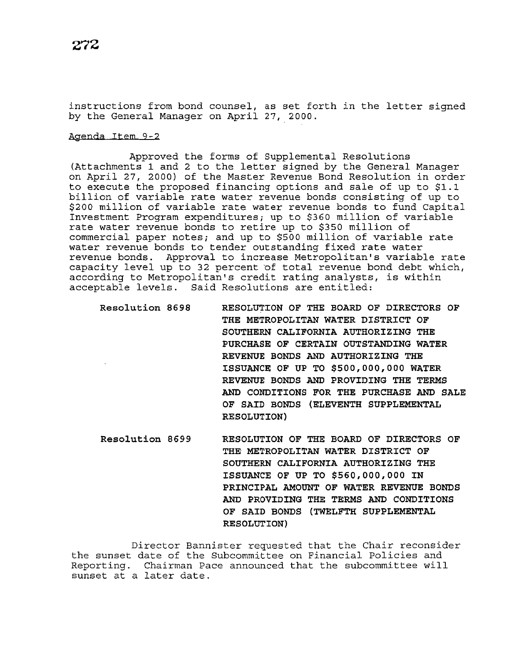instructions from bond counsel, as set forth *in* the letter signed by the General Manager on April 27, 2000.

### Agenda Item 9-2

Approved the forms of Supplemental Resolutions (Attachments 1 and 2 to the letter signed by the General Manager on April 27, 2000) of the Master Revenue Bond Resolution in order to execute the proposed financing options and sale of up to \$1.1 billion of variable rate water revenue bonds consisting of up to \$200 million of variable rate water revenue bonds to fund Capital Investment Program expenditures; up to \$360 million of variable rate water revenue bonds to retire up to \$350 million of commercial paper notes; and up to \$500 million of variable rate water revenue bonds to tender outstanding fixed rate water revenue bonds. Approval to increase Metropolitan's variable rate capacity level up to 32 percent of total revenue bond debt which, according to Metropolitan's credit rating analysts, is within acceptable levels. Said Resolutions are entitled:

| <b>Resolution 8698</b> | RESOLUTION OF THE BOARD OF DIRECTORS OF  |
|------------------------|------------------------------------------|
| $\epsilon$             | THE METROPOLITAN WATER DISTRICT OF       |
|                        | SOUTHERN CALIFORNIA AUTHORIZING THE      |
|                        | PURCHASE OF CERTAIN OUTSTANDING WATER    |
|                        | REVENUE BONDS AND AUTHORIZING THE        |
|                        | ISSUANCE OF UP TO \$500,000,000 WATER    |
|                        | REVENUE BONDS AND PROVIDING THE TERMS    |
|                        | AND CONDITIONS FOR THE PURCHASE AND SALE |
|                        | OF SAID BONDS (ELEVENTH SUPPLEMENTAL     |
|                        | <b>RESOLUTION)</b>                       |
|                        |                                          |

**Resolution 8699 RESOLUTION OF THE BOARD OF DIRECTORS OF THE METROPOLITAN WATER DISTRICT OF SOUTHERN CALIFORNIA AUTHORIZING THE ISSUANCE OF UP TO \$560,000,000 IN PRINCIPAL AMOUNT OF WATER REVENUE BONDS AND PROVIDING THE TERMS AND CONDITIONS OF SAID BONDS (TWELFTH SUPPLEMENTAL RESOLUTION)** 

Director Bannister requested that the Chair reconsider the sunset date of the Subcommittee on Financial Policies and Reporting. Chairman Pace announced that the subcommittee will sunset at a later date.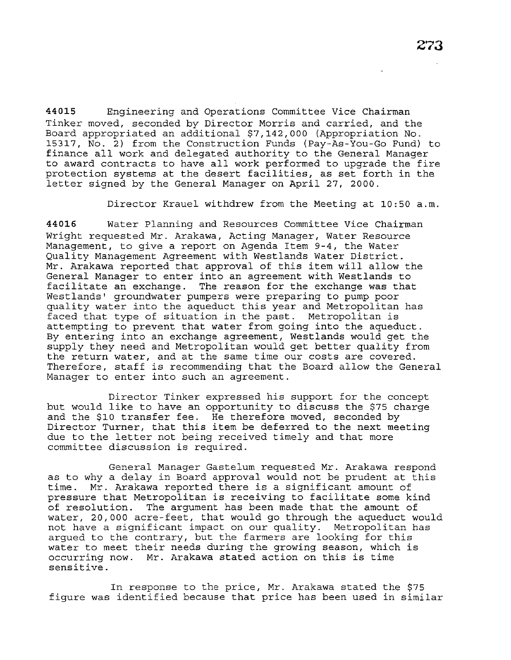**44015** Engineering and Operations Committee Vice Chairman Tinker moved, seconded by Director Morris and carried, and the Board appropriated an additional \$7,142,000 (Appropriation No. 15317, No. 2) from the Construction Funds (Pay-As-You-Go Fund) to finance all work and delegated authority to the General Manager to award contracts to have all work performed to upgrade the fire protection systems at the desert facilities, as set forth in the letter signed by the General Manager on April 27, 2000.

Director Krauel withdrew from the Meeting at 10:50 a.m.

**44016** Water Planning and Resources Committee Vice Chairman Wright requested Mr. Arakawa, Acting Manager, Water Resource Management, to give a report on Agenda Item 9-4, the Water Quality Management Agreement with Westlands Water District. Mr. Arakawa reported that approval of this item will allow the General Manager to enter into an agreement with Westlands to facilitate an exchange. The reason for the exchange was that Westlands' groundwater pumpers were preparing to pump poor quality water into the aqueduct this year and Metropolitan has faced that type of situation in the past. Metropolitan is attempting to prevent that water from going into the aqueduct. By entering into an exchange agreement, Westlands would get the supply they need and Metropolitan would get better quality from the return water, and at the same time our costs are covered. Therefore, staff is recommending that the Board allow the General Manager to enter into such an agreement.

Director Tinker expressed his support for the concept but would like to have an opportunity to discuss the \$75 charge and the \$10 transfer fee. He therefore moved, seconded by Director Turner, that this item be deferred to the next meeting due to the letter not being received timely and that more committee discussion is required.

General Manager Gastelum requested Mr. Arakawa respond as to why a delay in Board approval would not be prudent at this time. Mr. Arakawa reported there is a significant amount of pressure that Metropolitan is receiving to facilitate some kind of resolution. The argument has been made that the amount of water, 20,000 acre-feet, that would go through the aqueduct would not have a significant impact on our quality. Metropolitan has argued to the contrary, but the farmers are looking for this water to meet their needs during the growing season, which is occurring now. Mr. Arakawa stated action on this is time sensitive.

In response to the price, Mr. Arakawa stated the \$75 figure was identified because that price has been used in similar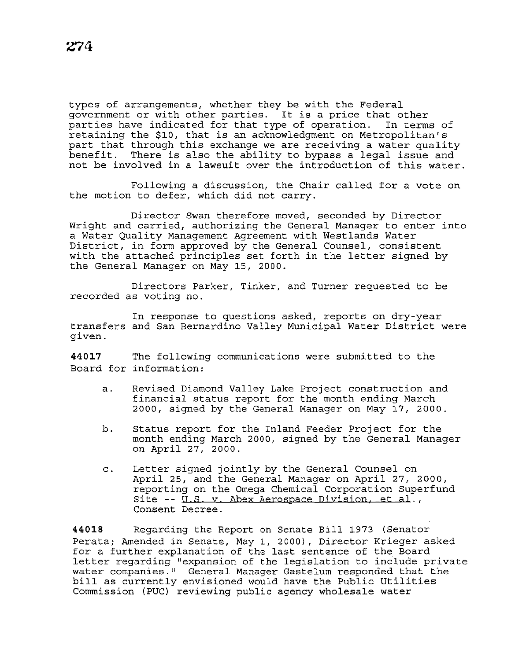types of arrangements, whether they be with the Federal government or with other parties. It is a price that other<br>parties have indicated for that type of operation. In terms of parties have indicated for that type of operation. retaining the \$10, that is an acknowledgment on Metropolitan's part that through this exchange we are receiving a water quality<br>benefit. There is also the ability to bypass a legal issue and There is also the ability to bypass a legal issue and not be involved in a lawsuit over the introduction of this water.

Following a discussion, the Chair called for a vote on the motion to defer, which did not carry.

Director Swan therefore moved, seconded by Director Wright and carried, authorizing the General Manager to enter into a Water Quality Management Agreement with Westlands Water District, in form approved by the General Counsel, consistent with the attached principles set forth in the letter signed by the General Manager on May 15, 2000.

Directors Parker, Tinker, and Turner requested to be recorded as voting no.

In response to questions asked, reports on dry-year transfers and San Bernardino Valley Municipal Water District were given.

**44017** The following communications were submitted to the Board for information:

- a. Revised Diamond Valley Lake Project construction and financial status report for the month ending March 2000, signed by the General Manager on May 17, 2000.
- b. Status report for the Inland Feeder Project for the month ending March 2000, signed by the General Manager on April 27, 2000.
- c. Letter signed jointly by the General Counsel on April 25, and the General Manager on April 27, 2000, reporting on the Omega Chemical Corporation Superfund Site -- U.S. v. Abex Aerospace Division, et al., Consent Decree.

**44018** Regarding the Report on Senate Bill 1973 (Senator Perata; Amended in Senate, May 1, 2000), Director Krieger asked for a further explanation of the last sentence of the Board letter regarding "expansion of the legislation to include private water companies." General Manager Gastelum responded that the bill as currently envisioned would have the Public Utilities Commission (PUC) reviewing public agency wholesale water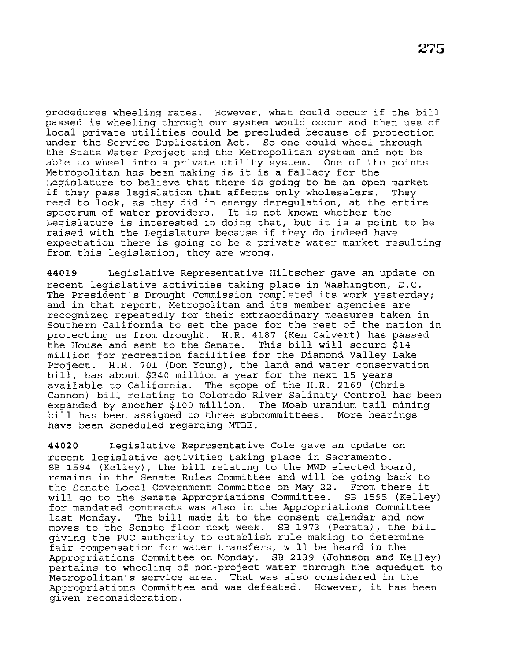procedures wheeling rates. However, what could occur if the bill passed is wheeling through our system would occur and then use of local private utilities could be precluded because of protection under the Service Duplication Act. So one could wheel through the State Water Project and the Metropolitan system and not be able to wheel into a private utility system. One of the points Metropolitan has been making is it is a fallacy for the Legislature to believe that there is going to be an open market<br>if thev pass legislation that affects only wholesalers. They if they pass legislation that affects only wholesalers. need to look, as they did in energy deregulation, at the entire spectrum of water providers. It is not known whether the It is not known whether the Legislature is interested in doing that, but it is a point to be raised with the Legislature because if they do indeed have expectation there is going to be a private water market resulting from this legislation, they are wrong.

**44019** Legislative Representative Hiltscher gave an update on recent legislative activities taking place in Washington, D.C. The President's Drought Commission completed its work yesterday; and in that report, Metropolitan and its member agencies are recognized repeatedly for their extraordinary measures taken in Southern California to set the pace for the rest of the nation in protecting us from drought. H.R. 4187 (Ken Calvert) has passed the House and sent to the Senate. This bill will secure \$14 million for recreation facilities for the Diamond Valley Lake Project. H.R. 701 (Don Young), the land and water conservation bill, has about \$340 million a year for the next 15 years available to California. The scope of the H.R. 2169 (Chris Cannon) bill relating to Colorado River Salinity Control has been expanded by another \$100 million. The Moab uranium tail mining bill has been assigned to three subcommittees. More hearings have been scheduled regarding MTBE.

**44020** Legislative Representative Cole gave an update on recent legislative activities taking place in Sacramento. SB 1594 (Kelley), the bill relating to the MWD elected board, remains in the Senate Rules Committee and will be going back to the Senate Local Government Committee on May 22. From there it will go to the Senate Appropriations Committee. SB 1595 (Kelley) for mandated contracts was also in the Appropriations Committee<br>last Monday. The bill made it to the consent calendar and now The bill made it to the consent calendar and now moves to the Senate floor next week. SB 1973 (Perata), the bill giving the PUC authority to establish rule making to determine fair compensation for water transfers, will be heard in the Appropriations Committee on Monday. SB 2139 (Johnson and Kelley) pertains to wheeling of non-project water through the aqueduct to Metropolitan's service area. That was also considered in the Appropriations Committee and was defeated. However, it has been given reconsideration.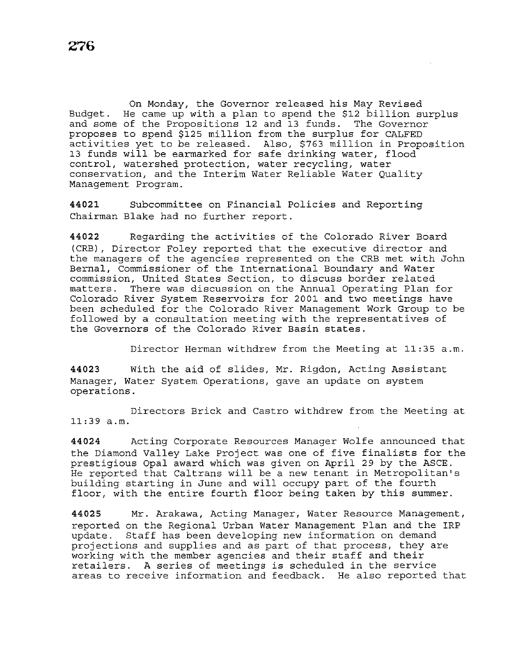On Monday, the Governor released his May Revised Budget. He came up with a plan to spend the \$12 billion surplus and some of the Propositions 12 and 13 funds. The Governor proposes to spend \$125 million from the surplus for CALFED activities yet to be released. Also, \$763 million in Proposition 13 funds will be earmarked for safe drinking water, flood control, watershed protection, water recycling, water conservation, and the Interim Water Reliable Water Quality Management Program.

**44021** Subcommittee on Financial Policies and Reporting Chairman Blake had no further report.

**44022** Regarding the activities of the Colorado River Board (CRB), Director Foley reported that the executive director and the managers of the agencies represented on the CRB met with John Bernal, Commissioner of the International Boundary and Water commission, United States Section, to discuss border related matters. There was discussion on the Annual Operating Plan for Colorado River System Reservoirs for 2001 and two meetings have been scheduled for the Colorado River Management Work Group to be followed by a consultation meeting with the representatives of the Governors of the Colorado River Basin states.

Director Herman withdrew from the Meeting at 11:35 a.m.

**44023** With the aid of slides, Mr. Rigdon, Acting Assistant Manager, Water System Operations, gave an update on system operations.

Directors Brick and Castro withdrew from the Meeting at 11:39 a.m.

**44024** Acting Corporate Resources Manager Wolfe announced that the Diamond Valley Lake Project was one of five finalists for the prestigious Opal award which was given on April 29 by the ASCE. He reported that Caltrans will be a new tenant in Metropolitan's building starting in June and will occupy part of the fourth floor, with the entire fourth floor being taken by this summer.

**44025** Mr. Arakawa, Acting Manager, Water Resource Management, reported on the Regional Urban Water Management Plan and the IRP update. Staff has been developing new information on demand projections and supplies and as part of that process, they are working with the member agencies and their staff and their retailers. A series of meetings is scheduled in the service areas to receive information and feedback. He also reported that